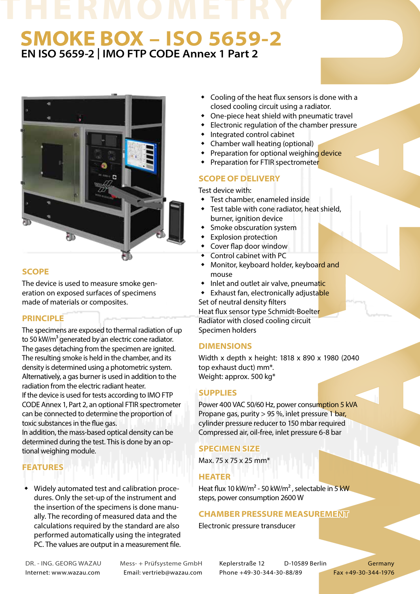# **EN ISO 5659-2 | IMO FTP CODE Annex 1 Part 2 SMOKE BOX – ISO 5659-2**



# **SCOPE**

The device is used to measure smoke generation on exposed surfaces of specimens made of materials or composites.

#### **PRINCIPLE**

The specimens are exposed to thermal radiation of up to 50 kW/m<sup>3</sup> generated by an electric cone radiator. The gases detaching from the specimen are ignited. The resulting smoke is held in the chamber, and its density is determined using a photometric system. Alternatively, a gas burner is used in addition to the radiation from the electric radiant heater. If the device is used for tests according to IMO FTP CODE Annex 1, Part 2, an optional FTIR spectrometer can be connected to determine the proportion of toxic substances in the flue gas. In addition, the mass-based optical density can be

determined during the test. This is done by an optional weighing module.

# **FEATURES**

 Widely automated test and calibration procedures. Only the set-up of the instrument and the insertion of the specimens is done manually. The recording of measured data and the calculations required by the standard are also performed automatically using the integrated PC. The values are output in a measurement file.

- Cooling of the heat flux sensors is done with a closed cooling circuit using a radiator.
- One-piece heat shield with pneumatic travel
- Electronic regulation of the chamber pressure
- Integrated control cabinet
- Chamber wall heating (optional)
- Preparation for optional weighing device
- Preparation for FTIR spectrometer

### **SCOPE OF DELIVERY**

Test device with:

- Test chamber, enameled inside
- Test table with cone radiator, heat shield, burner, janition device
- Smoke obscuration system
- Explosion protection
- Cover flap door window
- Control cabinet with PC
- Monitor, keyboard holder, keyboard and mouse
- Inlet and outlet air valve, pneumatic
- **Exhaust fan, electronically adjustable**

Set of neutral density filters Heat flux sensor type Schmidt-Boelter Radiator with closed cooling circuit Specimen holders

#### **DIMENSIONS**

Width x depth x height: 1818 x 890 x 1980 (2040 top exhaust duct) mm\*. Weight: approx. 500 kg\*

#### **SUPPLIES**

Power 400 VAC 50/60 Hz, power consumption 5 kVA Propane gas, purity  $> 95$ %, inlet pressure 1 bar, cylinder pressure reducer to 150 mbar required Compressed air, oil-free, inlet pressure 6-8 bar

#### **SPECIMEN SIZE**

Max. 75 x 75 x 25 mm\*

#### **HEATER**

Heat flux 10 kW/m<sup>2</sup> - 50 kW/m<sup>2</sup>, selectable in 5 kW steps, power consumption 2600 W

#### **CHAMBER PRESSURE MEASUREMENT**

Electronic pressure transducer

DR. - ING. GEORG WAZAU Mess- + Prüfsysteme GmbH Keplerstraße 12 D-10589 Berlin Germany Internet: www.wazau.com Email: vertrieb@wazau.com Phone +49-30-344-30-88/89 Fax +49-30-344-1976